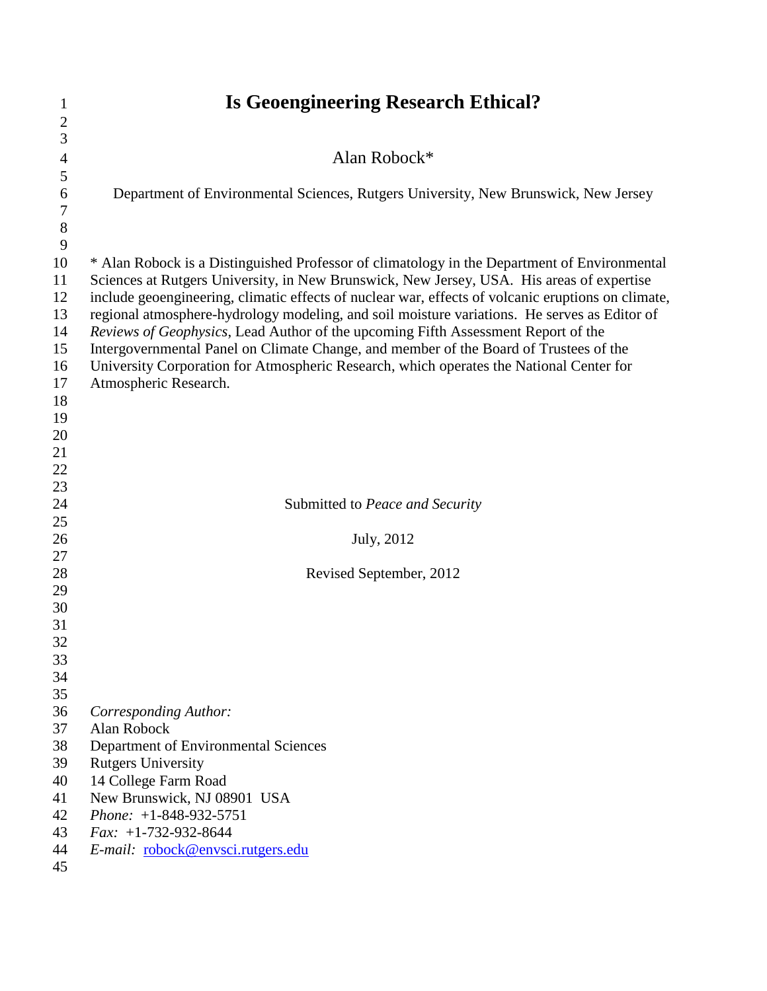| 1                | <b>Is Geoengineering Research Ethical?</b>                                                                                                                                                      |  |  |
|------------------|-------------------------------------------------------------------------------------------------------------------------------------------------------------------------------------------------|--|--|
| $\mathbf{2}$     |                                                                                                                                                                                                 |  |  |
| 3                |                                                                                                                                                                                                 |  |  |
| $\overline{4}$   | Alan Robock*                                                                                                                                                                                    |  |  |
| 5                |                                                                                                                                                                                                 |  |  |
| 6                | Department of Environmental Sciences, Rutgers University, New Brunswick, New Jersey                                                                                                             |  |  |
| $\boldsymbol{7}$ |                                                                                                                                                                                                 |  |  |
| $\,8\,$          |                                                                                                                                                                                                 |  |  |
| 9                |                                                                                                                                                                                                 |  |  |
| 10               | * Alan Robock is a Distinguished Professor of climatology in the Department of Environmental                                                                                                    |  |  |
| 11<br>12         | Sciences at Rutgers University, in New Brunswick, New Jersey, USA. His areas of expertise<br>include geoengineering, climatic effects of nuclear war, effects of volcanic eruptions on climate, |  |  |
| 13               | regional atmosphere-hydrology modeling, and soil moisture variations. He serves as Editor of                                                                                                    |  |  |
| 14               | Reviews of Geophysics, Lead Author of the upcoming Fifth Assessment Report of the                                                                                                               |  |  |
| 15               | Intergovernmental Panel on Climate Change, and member of the Board of Trustees of the                                                                                                           |  |  |
| 16               | University Corporation for Atmospheric Research, which operates the National Center for                                                                                                         |  |  |
| 17               | Atmospheric Research.                                                                                                                                                                           |  |  |
| 18               |                                                                                                                                                                                                 |  |  |
| 19               |                                                                                                                                                                                                 |  |  |
| 20               |                                                                                                                                                                                                 |  |  |
| 21               |                                                                                                                                                                                                 |  |  |
| 22               |                                                                                                                                                                                                 |  |  |
| 23               |                                                                                                                                                                                                 |  |  |
| 24               | Submitted to Peace and Security                                                                                                                                                                 |  |  |
| 25               |                                                                                                                                                                                                 |  |  |
| 26               | July, 2012                                                                                                                                                                                      |  |  |
| 27               |                                                                                                                                                                                                 |  |  |
| 28               | Revised September, 2012                                                                                                                                                                         |  |  |
| 29<br>30         |                                                                                                                                                                                                 |  |  |
| 31               |                                                                                                                                                                                                 |  |  |
| 32               |                                                                                                                                                                                                 |  |  |
| 33               |                                                                                                                                                                                                 |  |  |
| 34               |                                                                                                                                                                                                 |  |  |
| 35               |                                                                                                                                                                                                 |  |  |
| 36               | Corresponding Author:                                                                                                                                                                           |  |  |
| 37               | Alan Robock                                                                                                                                                                                     |  |  |
| 38               | Department of Environmental Sciences                                                                                                                                                            |  |  |
| 39               | <b>Rutgers University</b>                                                                                                                                                                       |  |  |
| 40               | 14 College Farm Road                                                                                                                                                                            |  |  |
| 41               | New Brunswick, NJ 08901 USA                                                                                                                                                                     |  |  |
| 42               | Phone: $+1-848-932-5751$                                                                                                                                                                        |  |  |
| 43               | $Fax: +1-732-932-8644$                                                                                                                                                                          |  |  |
| 44               | E-mail: robock@envsci.rutgers.edu                                                                                                                                                               |  |  |
| 45               |                                                                                                                                                                                                 |  |  |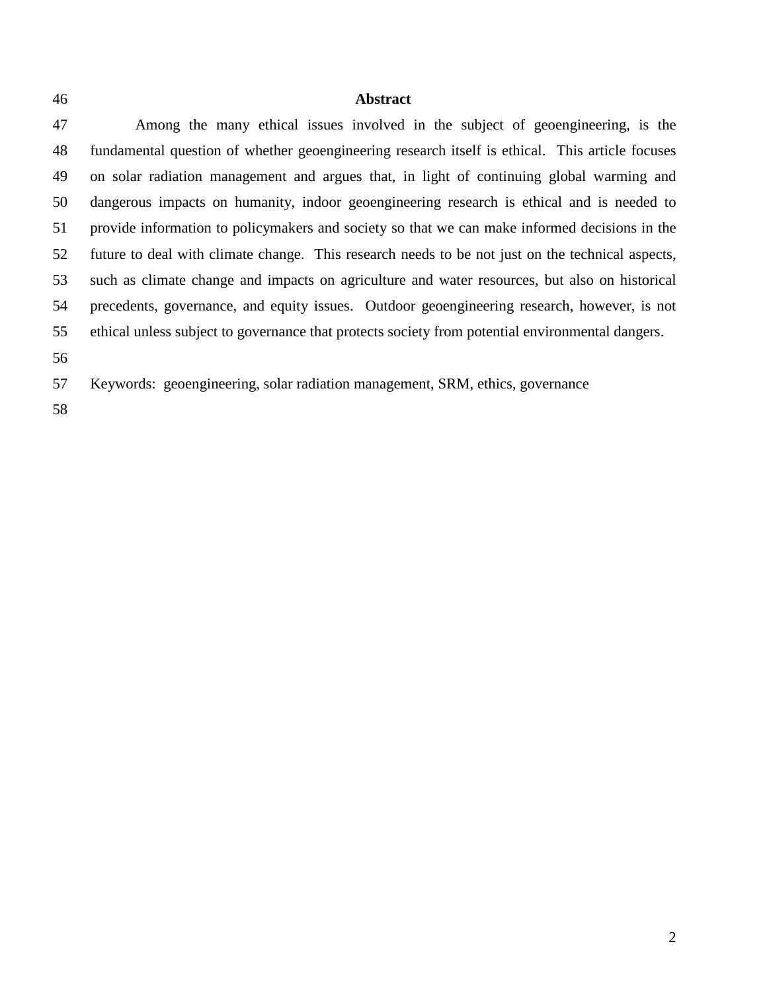## **Abstract**

 Among the many ethical issues involved in the subject of geoengineering, is the fundamental question of whether geoengineering research itself is ethical. This article focuses on solar radiation management and argues that, in light of continuing global warming and dangerous impacts on humanity, indoor geoengineering research is ethical and is needed to provide information to policymakers and society so that we can make informed decisions in the future to deal with climate change. This research needs to be not just on the technical aspects, such as climate change and impacts on agriculture and water resources, but also on historical precedents, governance, and equity issues. Outdoor geoengineering research, however, is not ethical unless subject to governance that protects society from potential environmental dangers. 

- Keywords: geoengineering, solar radiation management, SRM, ethics, governance
-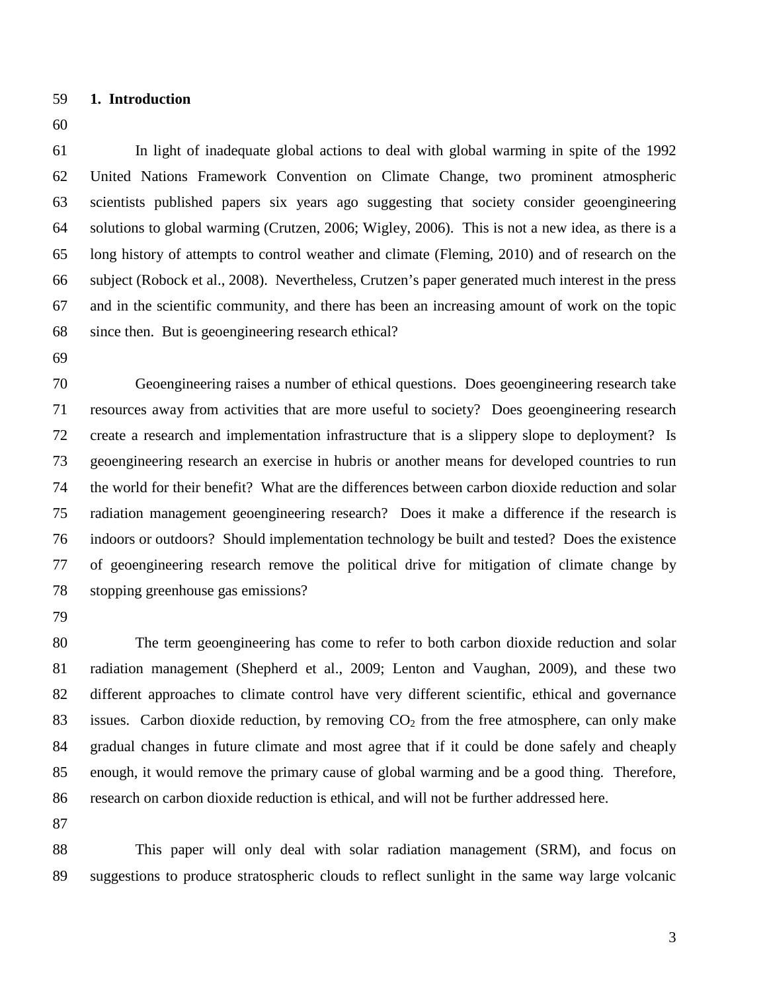- **1. Introduction**
- 

 In light of inadequate global actions to deal with global warming in spite of the 1992 United Nations Framework Convention on Climate Change, two prominent atmospheric scientists published papers six years ago suggesting that society consider geoengineering solutions to global warming (Crutzen, 2006; Wigley, 2006). This is not a new idea, as there is a long history of attempts to control weather and climate (Fleming, 2010) and of research on the subject (Robock et al., 2008). Nevertheless, Crutzen's paper generated much interest in the press and in the scientific community, and there has been an increasing amount of work on the topic since then. But is geoengineering research ethical?

 Geoengineering raises a number of ethical questions. Does geoengineering research take resources away from activities that are more useful to society? Does geoengineering research create a research and implementation infrastructure that is a slippery slope to deployment? Is geoengineering research an exercise in hubris or another means for developed countries to run the world for their benefit? What are the differences between carbon dioxide reduction and solar radiation management geoengineering research? Does it make a difference if the research is indoors or outdoors? Should implementation technology be built and tested? Does the existence of geoengineering research remove the political drive for mitigation of climate change by stopping greenhouse gas emissions?

 The term geoengineering has come to refer to both carbon dioxide reduction and solar radiation management (Shepherd et al., 2009; Lenton and Vaughan, 2009), and these two different approaches to climate control have very different scientific, ethical and governance 83 issues. Carbon dioxide reduction, by removing  $CO<sub>2</sub>$  from the free atmosphere, can only make gradual changes in future climate and most agree that if it could be done safely and cheaply enough, it would remove the primary cause of global warming and be a good thing. Therefore, research on carbon dioxide reduction is ethical, and will not be further addressed here.

 This paper will only deal with solar radiation management (SRM), and focus on suggestions to produce stratospheric clouds to reflect sunlight in the same way large volcanic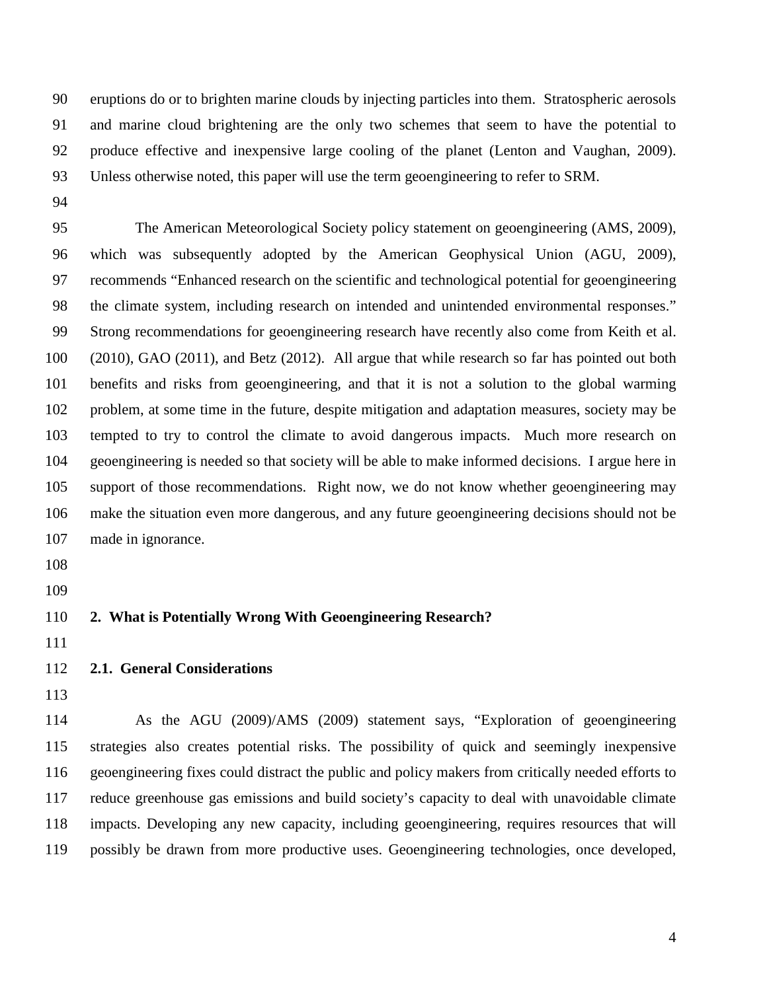eruptions do or to brighten marine clouds by injecting particles into them. Stratospheric aerosols and marine cloud brightening are the only two schemes that seem to have the potential to produce effective and inexpensive large cooling of the planet (Lenton and Vaughan, 2009). Unless otherwise noted, this paper will use the term geoengineering to refer to SRM.

 The American Meteorological Society policy statement on geoengineering (AMS, 2009), which was subsequently adopted by the American Geophysical Union (AGU, 2009), recommends "Enhanced research on the scientific and technological potential for geoengineering the climate system, including research on intended and unintended environmental responses." Strong recommendations for geoengineering research have recently also come from Keith et al. (2010), GAO (2011), and Betz (2012). All argue that while research so far has pointed out both benefits and risks from geoengineering, and that it is not a solution to the global warming problem, at some time in the future, despite mitigation and adaptation measures, society may be tempted to try to control the climate to avoid dangerous impacts. Much more research on geoengineering is needed so that society will be able to make informed decisions. I argue here in support of those recommendations. Right now, we do not know whether geoengineering may make the situation even more dangerous, and any future geoengineering decisions should not be made in ignorance.

- 
- 

## **2. What is Potentially Wrong With Geoengineering Research?**

## **2.1. General Considerations**

 As the AGU (2009)/AMS (2009) statement says, "Exploration of geoengineering strategies also creates potential risks. The possibility of quick and seemingly inexpensive geoengineering fixes could distract the public and policy makers from critically needed efforts to reduce greenhouse gas emissions and build society's capacity to deal with unavoidable climate impacts. Developing any new capacity, including geoengineering, requires resources that will possibly be drawn from more productive uses. Geoengineering technologies, once developed,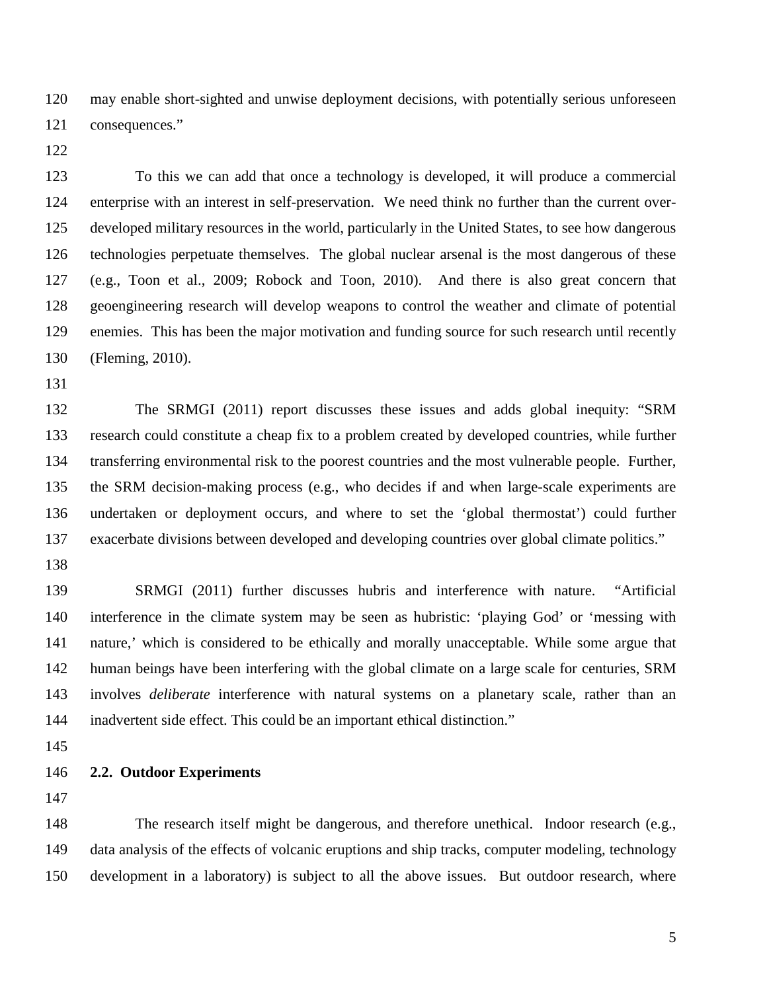may enable short-sighted and unwise deployment decisions, with potentially serious unforeseen consequences."

 To this we can add that once a technology is developed, it will produce a commercial enterprise with an interest in self-preservation. We need think no further than the current over- developed military resources in the world, particularly in the United States, to see how dangerous technologies perpetuate themselves. The global nuclear arsenal is the most dangerous of these (e.g., Toon et al., 2009; Robock and Toon, 2010). And there is also great concern that geoengineering research will develop weapons to control the weather and climate of potential enemies. This has been the major motivation and funding source for such research until recently (Fleming, 2010).

 The SRMGI (2011) report discusses these issues and adds global inequity: "SRM research could constitute a cheap fix to a problem created by developed countries, while further transferring environmental risk to the poorest countries and the most vulnerable people. Further, the SRM decision-making process (e.g., who decides if and when large-scale experiments are undertaken or deployment occurs, and where to set the 'global thermostat') could further exacerbate divisions between developed and developing countries over global climate politics."

 SRMGI (2011) further discusses hubris and interference with nature. "Artificial interference in the climate system may be seen as hubristic: 'playing God' or 'messing with nature,' which is considered to be ethically and morally unacceptable. While some argue that human beings have been interfering with the global climate on a large scale for centuries, SRM involves *deliberate* interference with natural systems on a planetary scale, rather than an inadvertent side effect. This could be an important ethical distinction."

**2.2. Outdoor Experiments**

 The research itself might be dangerous, and therefore unethical. Indoor research (e.g., data analysis of the effects of volcanic eruptions and ship tracks, computer modeling, technology development in a laboratory) is subject to all the above issues. But outdoor research, where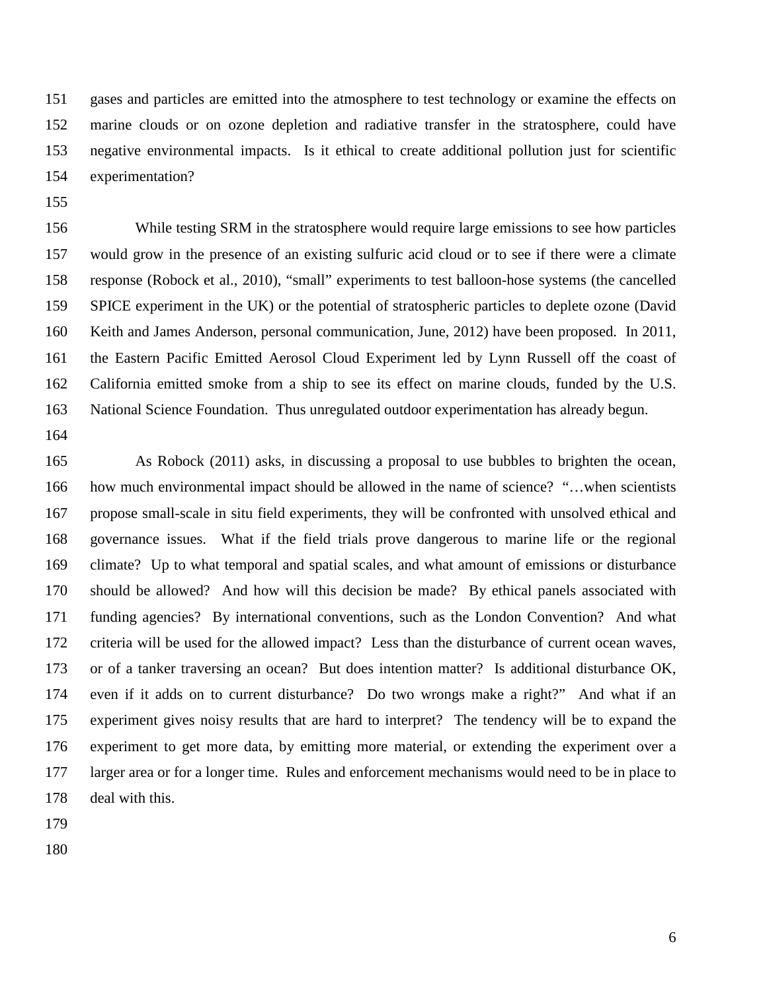gases and particles are emitted into the atmosphere to test technology or examine the effects on marine clouds or on ozone depletion and radiative transfer in the stratosphere, could have negative environmental impacts. Is it ethical to create additional pollution just for scientific experimentation?

 While testing SRM in the stratosphere would require large emissions to see how particles would grow in the presence of an existing sulfuric acid cloud or to see if there were a climate response (Robock et al., 2010), "small" experiments to test balloon-hose systems (the cancelled SPICE experiment in the UK) or the potential of stratospheric particles to deplete ozone (David Keith and James Anderson, personal communication, June, 2012) have been proposed. In 2011, the Eastern Pacific Emitted Aerosol Cloud Experiment led by Lynn Russell off the coast of California emitted smoke from a ship to see its effect on marine clouds, funded by the U.S. National Science Foundation. Thus unregulated outdoor experimentation has already begun.

 As Robock (2011) asks, in discussing a proposal to use bubbles to brighten the ocean, 166 how much environmental impact should be allowed in the name of science? "...when scientists propose small-scale in situ field experiments, they will be confronted with unsolved ethical and governance issues. What if the field trials prove dangerous to marine life or the regional climate? Up to what temporal and spatial scales, and what amount of emissions or disturbance should be allowed? And how will this decision be made? By ethical panels associated with funding agencies? By international conventions, such as the London Convention? And what criteria will be used for the allowed impact? Less than the disturbance of current ocean waves, or of a tanker traversing an ocean? But does intention matter? Is additional disturbance OK, even if it adds on to current disturbance? Do two wrongs make a right?" And what if an experiment gives noisy results that are hard to interpret? The tendency will be to expand the experiment to get more data, by emitting more material, or extending the experiment over a larger area or for a longer time. Rules and enforcement mechanisms would need to be in place to deal with this.

- 
-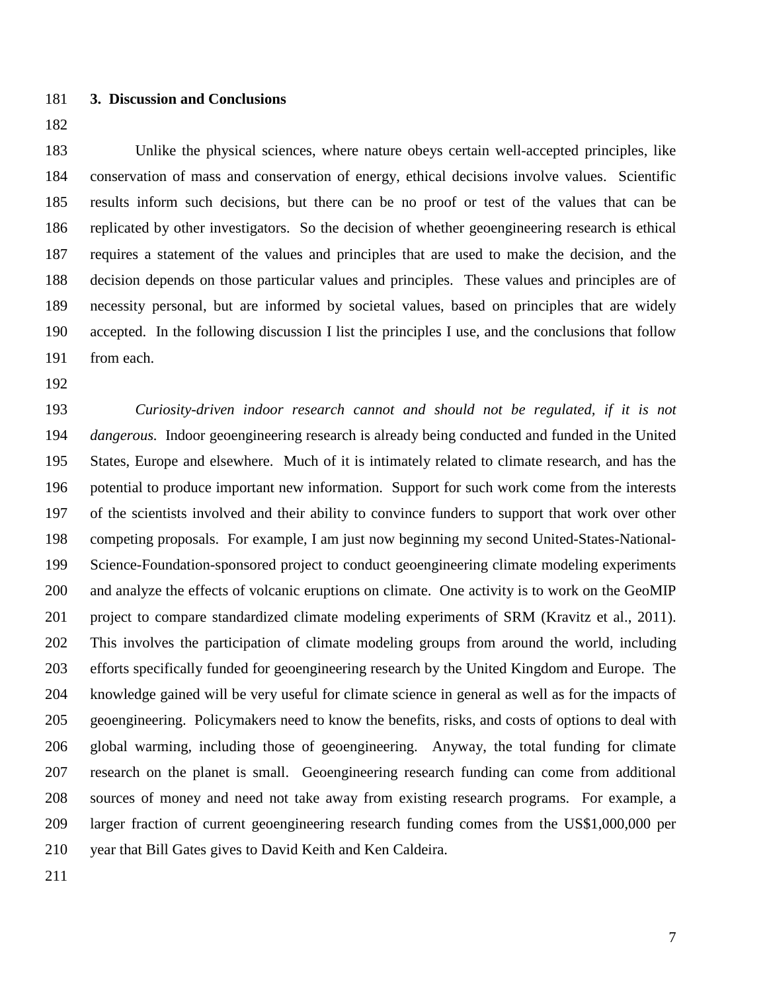## **3. Discussion and Conclusions**

 Unlike the physical sciences, where nature obeys certain well-accepted principles, like conservation of mass and conservation of energy, ethical decisions involve values. Scientific results inform such decisions, but there can be no proof or test of the values that can be replicated by other investigators. So the decision of whether geoengineering research is ethical requires a statement of the values and principles that are used to make the decision, and the decision depends on those particular values and principles. These values and principles are of necessity personal, but are informed by societal values, based on principles that are widely accepted. In the following discussion I list the principles I use, and the conclusions that follow from each.

 *Curiosity-driven indoor research cannot and should not be regulated, if it is not dangerous.* Indoor geoengineering research is already being conducted and funded in the United States, Europe and elsewhere. Much of it is intimately related to climate research, and has the potential to produce important new information. Support for such work come from the interests of the scientists involved and their ability to convince funders to support that work over other competing proposals. For example, I am just now beginning my second United-States-National- Science-Foundation-sponsored project to conduct geoengineering climate modeling experiments and analyze the effects of volcanic eruptions on climate. One activity is to work on the GeoMIP project to compare standardized climate modeling experiments of SRM (Kravitz et al., 2011). This involves the participation of climate modeling groups from around the world, including efforts specifically funded for geoengineering research by the United Kingdom and Europe. The knowledge gained will be very useful for climate science in general as well as for the impacts of geoengineering. Policymakers need to know the benefits, risks, and costs of options to deal with global warming, including those of geoengineering. Anyway, the total funding for climate research on the planet is small. Geoengineering research funding can come from additional sources of money and need not take away from existing research programs. For example, a larger fraction of current geoengineering research funding comes from the US\$1,000,000 per year that Bill Gates gives to David Keith and Ken Caldeira.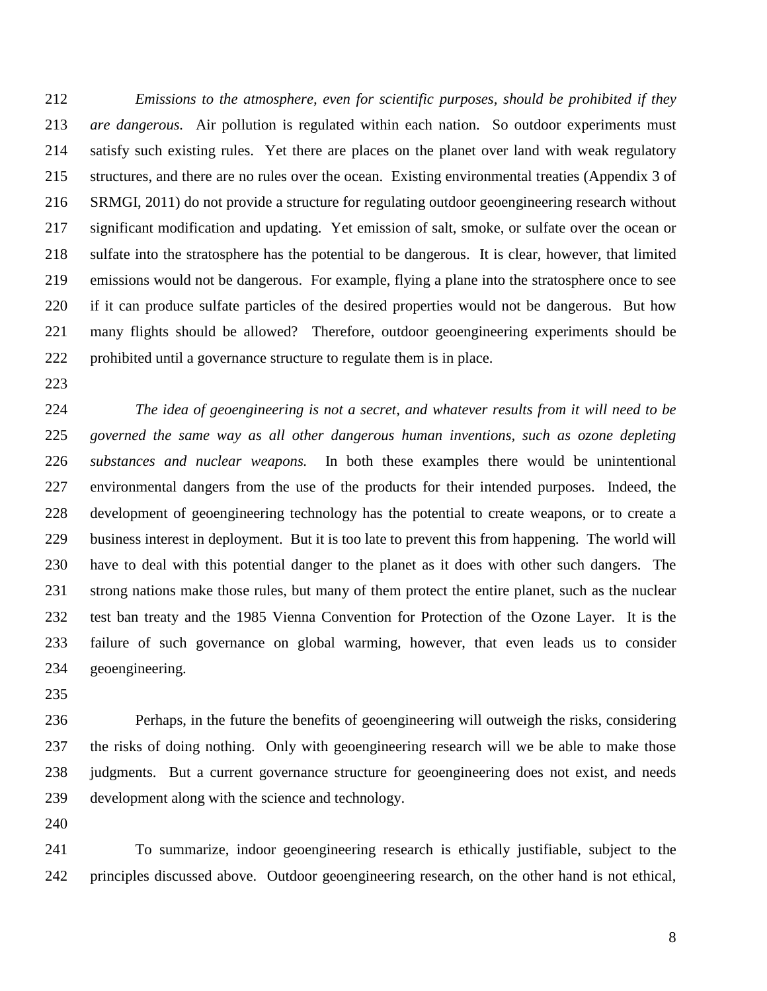*Emissions to the atmosphere, even for scientific purposes, should be prohibited if they are dangerous.* Air pollution is regulated within each nation. So outdoor experiments must satisfy such existing rules. Yet there are places on the planet over land with weak regulatory structures, and there are no rules over the ocean. Existing environmental treaties (Appendix 3 of SRMGI, 2011) do not provide a structure for regulating outdoor geoengineering research without significant modification and updating. Yet emission of salt, smoke, or sulfate over the ocean or sulfate into the stratosphere has the potential to be dangerous. It is clear, however, that limited emissions would not be dangerous. For example, flying a plane into the stratosphere once to see if it can produce sulfate particles of the desired properties would not be dangerous. But how many flights should be allowed? Therefore, outdoor geoengineering experiments should be prohibited until a governance structure to regulate them is in place.

 *The idea of geoengineering is not a secret, and whatever results from it will need to be governed the same way as all other dangerous human inventions, such as ozone depleting substances and nuclear weapons.* In both these examples there would be unintentional environmental dangers from the use of the products for their intended purposes. Indeed, the development of geoengineering technology has the potential to create weapons, or to create a business interest in deployment. But it is too late to prevent this from happening. The world will have to deal with this potential danger to the planet as it does with other such dangers. The strong nations make those rules, but many of them protect the entire planet, such as the nuclear test ban treaty and the 1985 Vienna Convention for Protection of the Ozone Layer. It is the failure of such governance on global warming, however, that even leads us to consider geoengineering.

 Perhaps, in the future the benefits of geoengineering will outweigh the risks, considering the risks of doing nothing. Only with geoengineering research will we be able to make those judgments. But a current governance structure for geoengineering does not exist, and needs development along with the science and technology.

 To summarize, indoor geoengineering research is ethically justifiable, subject to the principles discussed above. Outdoor geoengineering research, on the other hand is not ethical,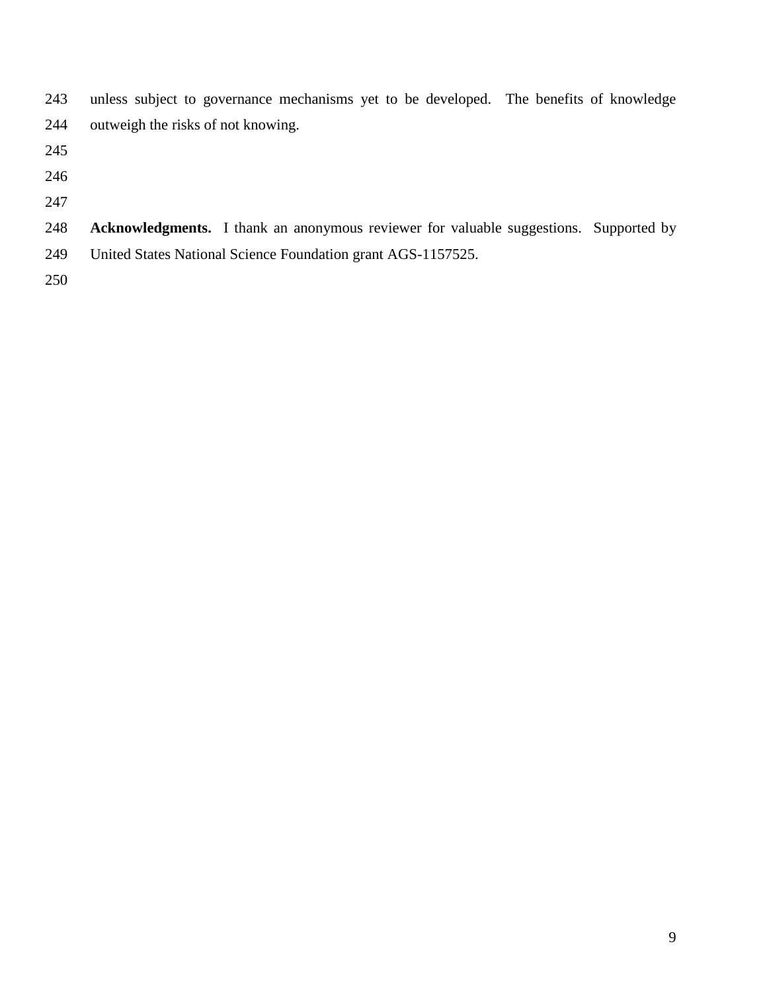| 243 | unless subject to governance mechanisms yet to be developed. The benefits of knowledge |  |
|-----|----------------------------------------------------------------------------------------|--|
| 244 | outweigh the risks of not knowing.                                                     |  |

- 
- 
- 
- **Acknowledgments.** I thank an anonymous reviewer for valuable suggestions. Supported by United States National Science Foundation grant AGS-1157525.
-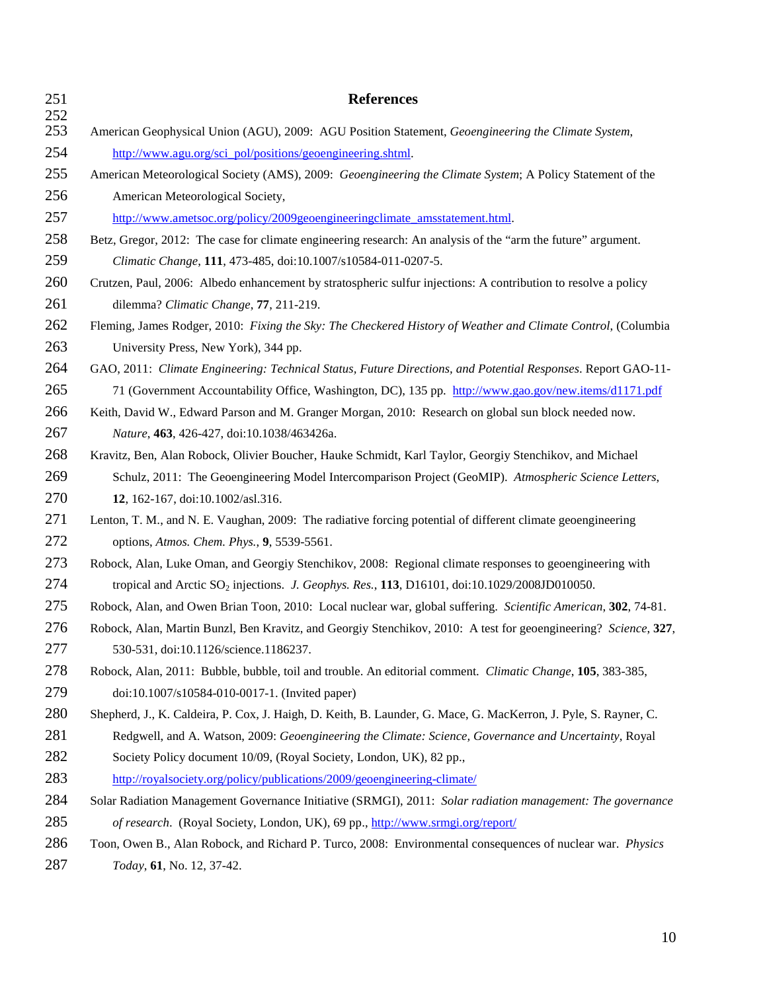| 251        | <b>References</b>                                                                                                |  |
|------------|------------------------------------------------------------------------------------------------------------------|--|
| 252<br>253 | American Geophysical Union (AGU), 2009: AGU Position Statement, Geoengineering the Climate System,               |  |
| 254        | http://www.agu.org/sci_pol/positions/geoengineering.shtml.                                                       |  |
| 255        | American Meteorological Society (AMS), 2009: Geoengineering the Climate System; A Policy Statement of the        |  |
| 256        | American Meteorological Society,                                                                                 |  |
| 257        | http://www.ametsoc.org/policy/2009geoengineeringclimate amsstatement.html.                                       |  |
| 258        | Betz, Gregor, 2012: The case for climate engineering research: An analysis of the "arm the future" argument.     |  |
| 259        | Climatic Change, 111, 473-485, doi:10.1007/s10584-011-0207-5.                                                    |  |
| 260        | Crutzen, Paul, 2006: Albedo enhancement by stratospheric sulfur injections: A contribution to resolve a policy   |  |
| 261        | dilemma? Climatic Change, 77, 211-219.                                                                           |  |
| 262        | Fleming, James Rodger, 2010: Fixing the Sky: The Checkered History of Weather and Climate Control, (Columbia     |  |
| 263        | University Press, New York), 344 pp.                                                                             |  |
| 264        | GAO, 2011: Climate Engineering: Technical Status, Future Directions, and Potential Responses. Report GAO-11-     |  |
| 265        | 71 (Government Accountability Office, Washington, DC), 135 pp. http://www.gao.gov/new.items/d1171.pdf            |  |
| 266        | Keith, David W., Edward Parson and M. Granger Morgan, 2010: Research on global sun block needed now.             |  |
| 267        | Nature, 463, 426-427, doi:10.1038/463426a.                                                                       |  |
| 268        | Kravitz, Ben, Alan Robock, Olivier Boucher, Hauke Schmidt, Karl Taylor, Georgiy Stenchikov, and Michael          |  |
| 269        | Schulz, 2011: The Geoengineering Model Intercomparison Project (GeoMIP). Atmospheric Science Letters,            |  |
| 270        | 12, 162-167, doi:10.1002/asl.316.                                                                                |  |
| 271        | Lenton, T. M., and N. E. Vaughan, 2009: The radiative forcing potential of different climate geoengineering      |  |
| 272        | options, Atmos. Chem. Phys., 9, 5539-5561.                                                                       |  |
| 273        | Robock, Alan, Luke Oman, and Georgiy Stenchikov, 2008: Regional climate responses to geoengineering with         |  |
| 274        | tropical and Arctic SO <sub>2</sub> injections. J. Geophys. Res., 113, D16101, doi:10.1029/2008JD010050.         |  |
| 275        | Robock, Alan, and Owen Brian Toon, 2010: Local nuclear war, global suffering. Scientific American, 302, 74-81.   |  |
| 276        | Robock, Alan, Martin Bunzl, Ben Kravitz, and Georgiy Stenchikov, 2010: A test for geoengineering? Science, 327,  |  |
| 277        | 530-531, doi:10.1126/science.1186237.                                                                            |  |
| 278        | Robock, Alan, 2011: Bubble, bubble, toil and trouble. An editorial comment. Climatic Change, 105, 383-385,       |  |
| 279        | doi:10.1007/s10584-010-0017-1. (Invited paper)                                                                   |  |
| 280        | Shepherd, J., K. Caldeira, P. Cox, J. Haigh, D. Keith, B. Launder, G. Mace, G. MacKerron, J. Pyle, S. Rayner, C. |  |
| 281        | Redgwell, and A. Watson, 2009: Geoengineering the Climate: Science, Governance and Uncertainty, Royal            |  |
| 282        | Society Policy document 10/09, (Royal Society, London, UK), 82 pp.,                                              |  |
| 283        | http://royalsociety.org/policy/publications/2009/geoengineering-climate/                                         |  |
| 284        | Solar Radiation Management Governance Initiative (SRMGI), 2011: Solar radiation management: The governance       |  |
| 285        | of research. (Royal Society, London, UK), 69 pp., http://www.srmgi.org/report/                                   |  |
| 286        | Toon, Owen B., Alan Robock, and Richard P. Turco, 2008: Environmental consequences of nuclear war. Physics       |  |
| 287        | Today, 61, No. 12, 37-42.                                                                                        |  |